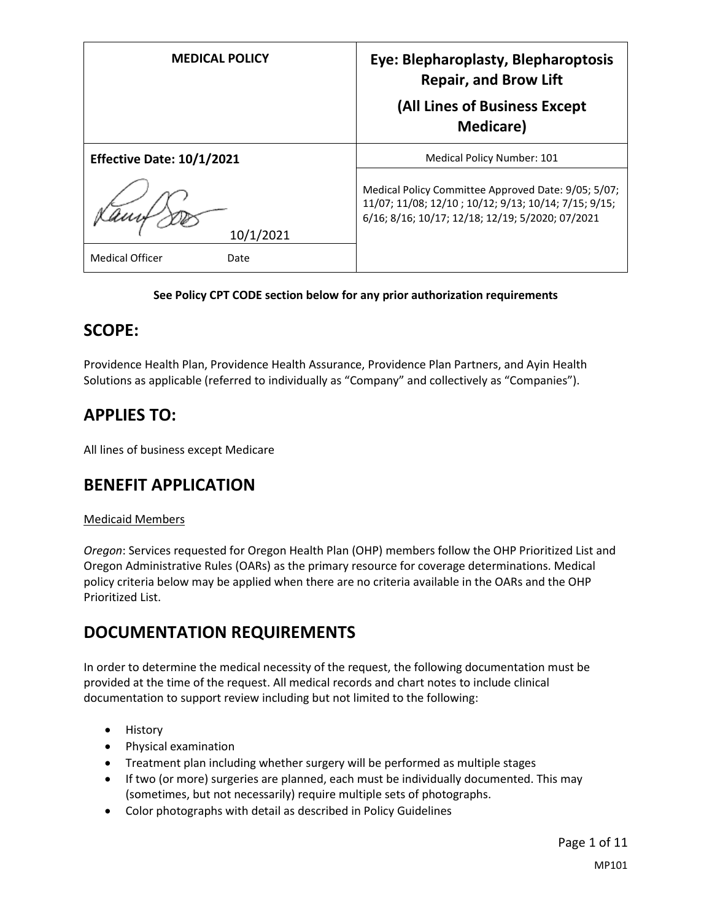| <b>MEDICAL POLICY</b>            | Eye: Blepharoplasty, Blepharoptosis<br><b>Repair, and Brow Lift</b><br>(All Lines of Business Except<br><b>Medicare</b> )                                       |
|----------------------------------|-----------------------------------------------------------------------------------------------------------------------------------------------------------------|
| <b>Effective Date: 10/1/2021</b> | Medical Policy Number: 101                                                                                                                                      |
| 10/1/2021                        | Medical Policy Committee Approved Date: 9/05; 5/07;<br>11/07; 11/08; 12/10; 10/12; 9/13; 10/14; 7/15; 9/15;<br>6/16; 8/16; 10/17; 12/18; 12/19; 5/2020; 07/2021 |
| <b>Medical Officer</b><br>Date   |                                                                                                                                                                 |

#### **See Policy CPT CODE section below for any prior authorization requirements**

#### **SCOPE:**

Providence Health Plan, Providence Health Assurance, Providence Plan Partners, and Ayin Health Solutions as applicable (referred to individually as "Company" and collectively as "Companies").

### **APPLIES TO:**

All lines of business except Medicare

### **BENEFIT APPLICATION**

#### Medicaid Members

*Oregon*: Services requested for Oregon Health Plan (OHP) members follow the OHP Prioritized List and Oregon Administrative Rules (OARs) as the primary resource for coverage determinations. Medical policy criteria below may be applied when there are no criteria available in the OARs and the OHP Prioritized List.

### **DOCUMENTATION REQUIREMENTS**

In order to determine the medical necessity of the request, the following documentation must be provided at the time of the request. All medical records and chart notes to include clinical documentation to support review including but not limited to the following:

- History
- Physical examination
- Treatment plan including whether surgery will be performed as multiple stages
- If two (or more) surgeries are planned, each must be individually documented. This may (sometimes, but not necessarily) require multiple sets of photographs.
- Color photographs with detail as described in Policy Guidelines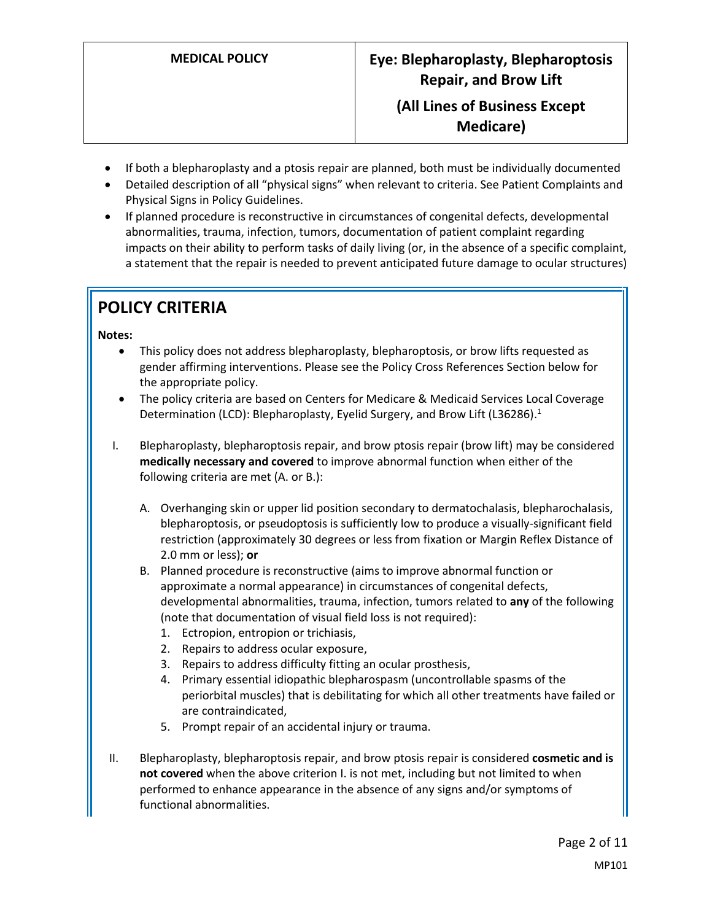- If both a blepharoplasty and a ptosis repair are planned, both must be individually documented
- Detailed description of all "physical signs" when relevant to criteria. See Patient Complaints and Physical Signs in Policy Guidelines.
- If planned procedure is reconstructive in circumstances of congenital defects, developmental abnormalities, trauma, infection, tumors, documentation of patient complaint regarding impacts on their ability to perform tasks of daily living (or, in the absence of a specific complaint, a statement that the repair is needed to prevent anticipated future damage to ocular structures)

# **POLICY CRITERIA**

#### **Notes:**

- This policy does not address blepharoplasty, blepharoptosis, or brow lifts requested as gender affirming interventions. Please see the Policy Cross References Section below for the appropriate policy.
- The policy criteria are based on Centers for Medicare & Medicaid Services Local Coverage Determination (LCD): Blepharoplasty, Eyelid Surgery, and Brow Lift (L36286).<sup>1</sup>
- I. Blepharoplasty, blepharoptosis repair, and brow ptosis repair (brow lift) may be considered **medically necessary and covered** to improve abnormal function when either of the following criteria are met (A. or B.):
	- A. Overhanging skin or upper lid position secondary to dermatochalasis, blepharochalasis, blepharoptosis, or pseudoptosis is sufficiently low to produce a visually-significant field restriction (approximately 30 degrees or less from fixation or Margin Reflex Distance of 2.0 mm or less); **or**
	- B. Planned procedure is reconstructive (aims to improve abnormal function or approximate a normal appearance) in circumstances of congenital defects, developmental abnormalities, trauma, infection, tumors related to **any** of the following (note that documentation of visual field loss is not required):
		- 1. Ectropion, entropion or trichiasis,
		- 2. Repairs to address ocular exposure,
		- 3. Repairs to address difficulty fitting an ocular prosthesis,
		- 4. Primary essential idiopathic blepharospasm (uncontrollable spasms of the periorbital muscles) that is debilitating for which all other treatments have failed or are contraindicated,
		- 5. Prompt repair of an accidental injury or trauma.
- II. Blepharoplasty, blepharoptosis repair, and brow ptosis repair is considered **cosmetic and is not covered** when the above criterion I. is not met, including but not limited to when performed to enhance appearance in the absence of any signs and/or symptoms of functional abnormalities.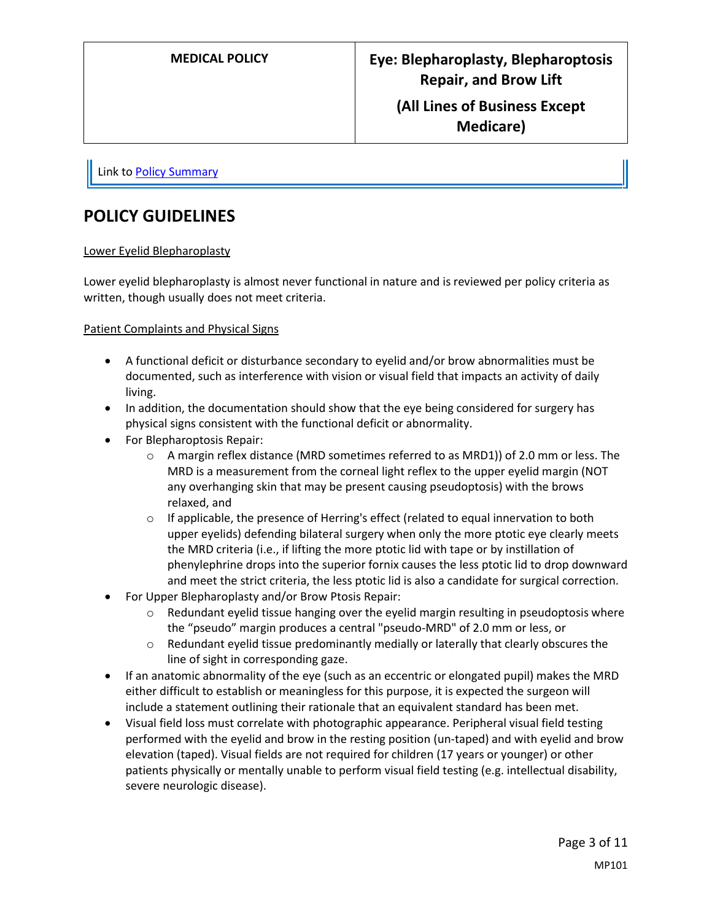Link t[o Policy Summary](#page-9-0)

## **POLICY GUIDELINES**

#### Lower Eyelid Blepharoplasty

Lower eyelid blepharoplasty is almost never functional in nature and is reviewed per policy criteria as written, though usually does not meet criteria.

#### Patient Complaints and Physical Signs

- A functional deficit or disturbance secondary to eyelid and/or brow abnormalities must be documented, such as interference with vision or visual field that impacts an activity of daily living.
- In addition, the documentation should show that the eye being considered for surgery has physical signs consistent with the functional deficit or abnormality.
- For Blepharoptosis Repair:
	- o A margin reflex distance (MRD sometimes referred to as MRD1)) of 2.0 mm or less. The MRD is a measurement from the corneal light reflex to the upper eyelid margin (NOT any overhanging skin that may be present causing pseudoptosis) with the brows relaxed, and
	- $\circ$  If applicable, the presence of Herring's effect (related to equal innervation to both upper eyelids) defending bilateral surgery when only the more ptotic eye clearly meets the MRD criteria (i.e., if lifting the more ptotic lid with tape or by instillation of phenylephrine drops into the superior fornix causes the less ptotic lid to drop downward and meet the strict criteria, the less ptotic lid is also a candidate for surgical correction.
- For Upper Blepharoplasty and/or Brow Ptosis Repair:
	- $\circ$  Redundant eyelid tissue hanging over the eyelid margin resulting in pseudoptosis where the "pseudo" margin produces a central "pseudo-MRD" of 2.0 mm or less, or
	- $\circ$  Redundant eyelid tissue predominantly medially or laterally that clearly obscures the line of sight in corresponding gaze.
- If an anatomic abnormality of the eye (such as an eccentric or elongated pupil) makes the MRD either difficult to establish or meaningless for this purpose, it is expected the surgeon will include a statement outlining their rationale that an equivalent standard has been met.
- Visual field loss must correlate with photographic appearance. Peripheral visual field testing performed with the eyelid and brow in the resting position (un-taped) and with eyelid and brow elevation (taped). Visual fields are not required for children (17 years or younger) or other patients physically or mentally unable to perform visual field testing (e.g. intellectual disability, severe neurologic disease).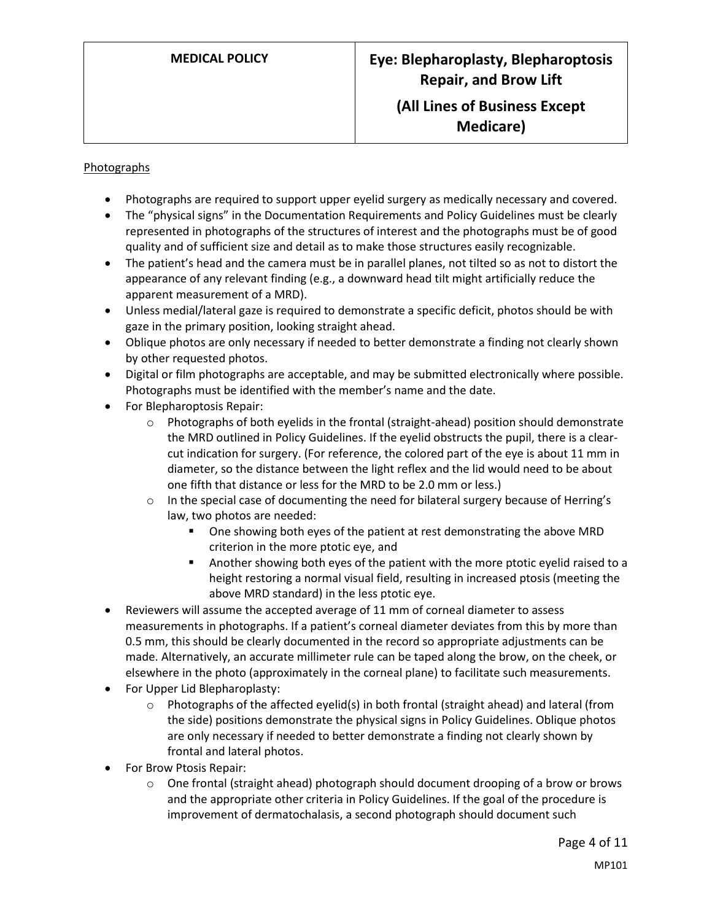#### Photographs

- Photographs are required to support upper eyelid surgery as medically necessary and covered.
- The "physical signs" in the Documentation Requirements and Policy Guidelines must be clearly represented in photographs of the structures of interest and the photographs must be of good quality and of sufficient size and detail as to make those structures easily recognizable.
- The patient's head and the camera must be in parallel planes, not tilted so as not to distort the appearance of any relevant finding (e.g., a downward head tilt might artificially reduce the apparent measurement of a MRD).
- Unless medial/lateral gaze is required to demonstrate a specific deficit, photos should be with gaze in the primary position, looking straight ahead.
- Oblique photos are only necessary if needed to better demonstrate a finding not clearly shown by other requested photos.
- Digital or film photographs are acceptable, and may be submitted electronically where possible. Photographs must be identified with the member's name and the date.
- For Blepharoptosis Repair:
	- o Photographs of both eyelids in the frontal (straight-ahead) position should demonstrate the MRD outlined in Policy Guidelines. If the eyelid obstructs the pupil, there is a clearcut indication for surgery. (For reference, the colored part of the eye is about 11 mm in diameter, so the distance between the light reflex and the lid would need to be about one fifth that distance or less for the MRD to be 2.0 mm or less.)
	- $\circ$  In the special case of documenting the need for bilateral surgery because of Herring's law, two photos are needed:
		- **•** One showing both eyes of the patient at rest demonstrating the above MRD criterion in the more ptotic eye, and
		- Another showing both eyes of the patient with the more ptotic eyelid raised to a height restoring a normal visual field, resulting in increased ptosis (meeting the above MRD standard) in the less ptotic eye.
- Reviewers will assume the accepted average of 11 mm of corneal diameter to assess measurements in photographs. If a patient's corneal diameter deviates from this by more than 0.5 mm, this should be clearly documented in the record so appropriate adjustments can be made. Alternatively, an accurate millimeter rule can be taped along the brow, on the cheek, or elsewhere in the photo (approximately in the corneal plane) to facilitate such measurements.
- For Upper Lid Blepharoplasty:
	- $\circ$  Photographs of the affected eyelid(s) in both frontal (straight ahead) and lateral (from the side) positions demonstrate the physical signs in Policy Guidelines. Oblique photos are only necessary if needed to better demonstrate a finding not clearly shown by frontal and lateral photos.
- For Brow Ptosis Repair:
	- $\circ$  One frontal (straight ahead) photograph should document drooping of a brow or brows and the appropriate other criteria in Policy Guidelines. If the goal of the procedure is improvement of dermatochalasis, a second photograph should document such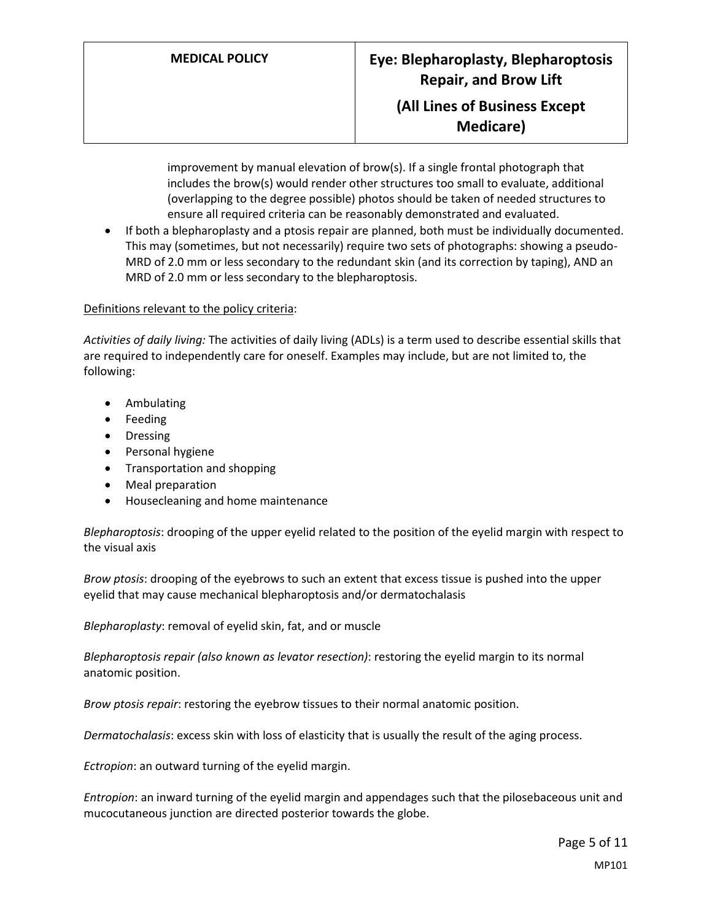improvement by manual elevation of brow(s). If a single frontal photograph that includes the brow(s) would render other structures too small to evaluate, additional (overlapping to the degree possible) photos should be taken of needed structures to ensure all required criteria can be reasonably demonstrated and evaluated.

 If both a blepharoplasty and a ptosis repair are planned, both must be individually documented. This may (sometimes, but not necessarily) require two sets of photographs: showing a pseudo-MRD of 2.0 mm or less secondary to the redundant skin (and its correction by taping), AND an MRD of 2.0 mm or less secondary to the blepharoptosis.

#### Definitions relevant to the policy criteria:

*Activities of daily living:* The activities of daily living (ADLs) is a term used to describe essential skills that are required to independently care for oneself. Examples may include, but are not limited to, the following:

- Ambulating
- Feeding
- Dressing
- Personal hygiene
- Transportation and shopping
- Meal preparation
- Housecleaning and home maintenance

*Blepharoptosis*: drooping of the upper eyelid related to the position of the eyelid margin with respect to the visual axis

*Brow ptosis*: drooping of the eyebrows to such an extent that excess tissue is pushed into the upper eyelid that may cause mechanical blepharoptosis and/or dermatochalasis

*Blepharoplasty*: removal of eyelid skin, fat, and or muscle

*Blepharoptosis repair (also known as levator resection)*: restoring the eyelid margin to its normal anatomic position.

*Brow ptosis repair*: restoring the eyebrow tissues to their normal anatomic position.

*Dermatochalasis*: excess skin with loss of elasticity that is usually the result of the aging process.

*Ectropion*: an outward turning of the eyelid margin.

*Entropion*: an inward turning of the eyelid margin and appendages such that the pilosebaceous unit and mucocutaneous junction are directed posterior towards the globe.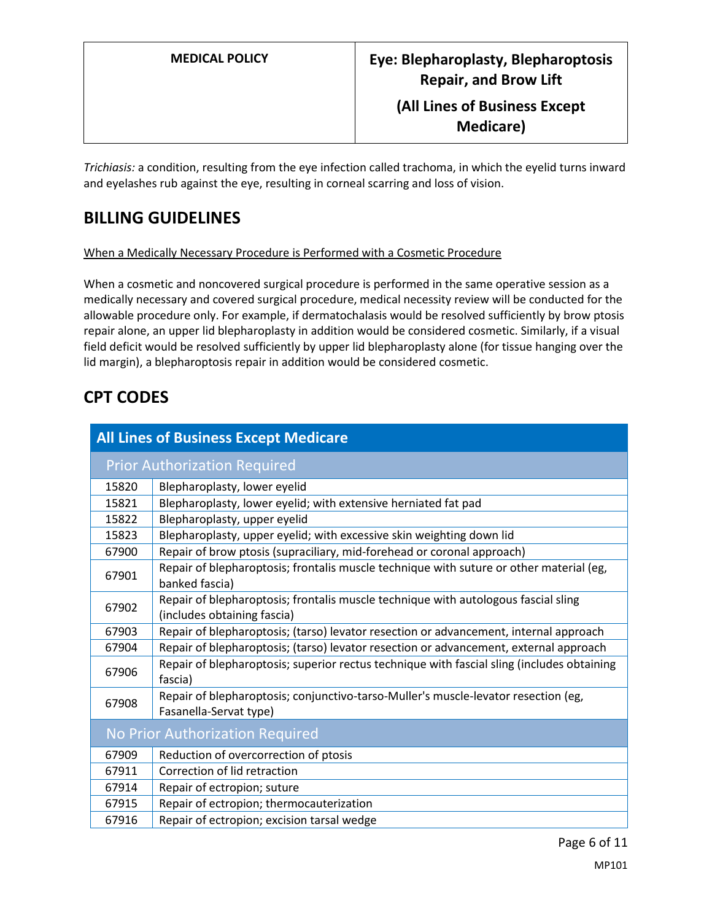**Medicare)**

*Trichiasis:* a condition, resulting from the eye infection called trachoma, in which the eyelid turns inward and eyelashes rub against the eye, resulting in corneal scarring and loss of vision.

### **BILLING GUIDELINES**

When a Medically Necessary Procedure is Performed with a Cosmetic Procedure

When a cosmetic and noncovered surgical procedure is performed in the same operative session as a medically necessary and covered surgical procedure, medical necessity review will be conducted for the allowable procedure only. For example, if dermatochalasis would be resolved sufficiently by brow ptosis repair alone, an upper lid blepharoplasty in addition would be considered cosmetic. Similarly, if a visual field deficit would be resolved sufficiently by upper lid blepharoplasty alone (for tissue hanging over the lid margin), a blepharoptosis repair in addition would be considered cosmetic.

## **CPT CODES**

| <b>All Lines of Business Except Medicare</b> |                                                                                                                   |  |
|----------------------------------------------|-------------------------------------------------------------------------------------------------------------------|--|
|                                              | <b>Prior Authorization Required</b>                                                                               |  |
| 15820                                        | Blepharoplasty, lower eyelid                                                                                      |  |
| 15821                                        | Blepharoplasty, lower eyelid; with extensive herniated fat pad                                                    |  |
| 15822                                        | Blepharoplasty, upper eyelid                                                                                      |  |
| 15823                                        | Blepharoplasty, upper eyelid; with excessive skin weighting down lid                                              |  |
| 67900                                        | Repair of brow ptosis (supraciliary, mid-forehead or coronal approach)                                            |  |
| 67901                                        | Repair of blepharoptosis; frontalis muscle technique with suture or other material (eg,<br>banked fascia)         |  |
| 67902                                        | Repair of blepharoptosis; frontalis muscle technique with autologous fascial sling<br>(includes obtaining fascia) |  |
| 67903                                        | Repair of blepharoptosis; (tarso) levator resection or advancement, internal approach                             |  |
| 67904                                        | Repair of blepharoptosis; (tarso) levator resection or advancement, external approach                             |  |
| 67906                                        | Repair of blepharoptosis; superior rectus technique with fascial sling (includes obtaining<br>fascia)             |  |
| 67908                                        | Repair of blepharoptosis; conjunctivo-tarso-Muller's muscle-levator resection (eg,<br>Fasanella-Servat type)      |  |
| No Prior Authorization Required              |                                                                                                                   |  |
| 67909                                        | Reduction of overcorrection of ptosis                                                                             |  |
| 67911                                        | Correction of lid retraction                                                                                      |  |
| 67914                                        | Repair of ectropion; suture                                                                                       |  |
| 67915                                        | Repair of ectropion; thermocauterization                                                                          |  |
| 67916                                        | Repair of ectropion; excision tarsal wedge                                                                        |  |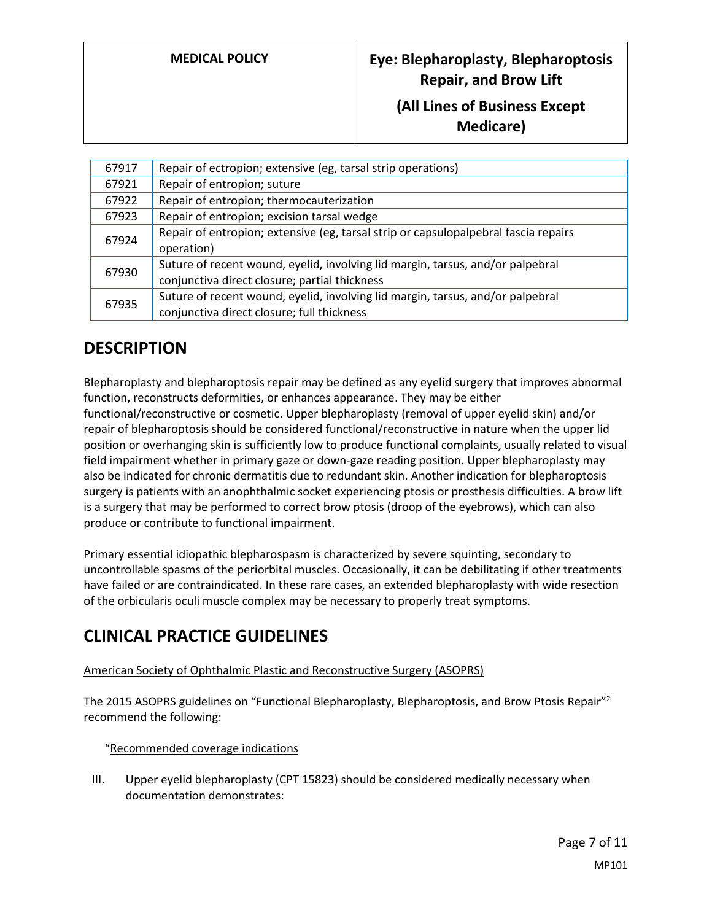| 67917 | Repair of ectropion; extensive (eg, tarsal strip operations)                        |
|-------|-------------------------------------------------------------------------------------|
| 67921 | Repair of entropion; suture                                                         |
| 67922 | Repair of entropion; thermocauterization                                            |
| 67923 | Repair of entropion; excision tarsal wedge                                          |
| 67924 | Repair of entropion; extensive (eg, tarsal strip or capsulopalpebral fascia repairs |
|       | operation)                                                                          |
| 67930 | Suture of recent wound, eyelid, involving lid margin, tarsus, and/or palpebral      |
|       | conjunctiva direct closure; partial thickness                                       |
| 67935 | Suture of recent wound, eyelid, involving lid margin, tarsus, and/or palpebral      |
|       | conjunctiva direct closure; full thickness                                          |

### **DESCRIPTION**

Blepharoplasty and blepharoptosis repair may be defined as any eyelid surgery that improves abnormal function, reconstructs deformities, or enhances appearance. They may be either functional/reconstructive or cosmetic. Upper blepharoplasty (removal of upper eyelid skin) and/or repair of blepharoptosis should be considered functional/reconstructive in nature when the upper lid position or overhanging skin is sufficiently low to produce functional complaints, usually related to visual field impairment whether in primary gaze or down-gaze reading position. Upper blepharoplasty may also be indicated for chronic dermatitis due to redundant skin. Another indication for blepharoptosis surgery is patients with an anophthalmic socket experiencing ptosis or prosthesis difficulties. A brow lift is a surgery that may be performed to correct brow ptosis (droop of the eyebrows), which can also produce or contribute to functional impairment.

Primary essential idiopathic blepharospasm is characterized by severe squinting, secondary to uncontrollable spasms of the periorbital muscles. Occasionally, it can be debilitating if other treatments have failed or are contraindicated. In these rare cases, an extended blepharoplasty with wide resection of the orbicularis oculi muscle complex may be necessary to properly treat symptoms.

### **CLINICAL PRACTICE GUIDELINES**

#### American Society of Ophthalmic Plastic and Reconstructive Surgery (ASOPRS)

The 2015 ASOPRS guidelines on "Functional Blepharoplasty, Blepharoptosis, and Brow Ptosis Repair"<sup>2</sup> recommend the following:

#### "Recommended coverage indications

III. Upper eyelid blepharoplasty (CPT 15823) should be considered medically necessary when documentation demonstrates: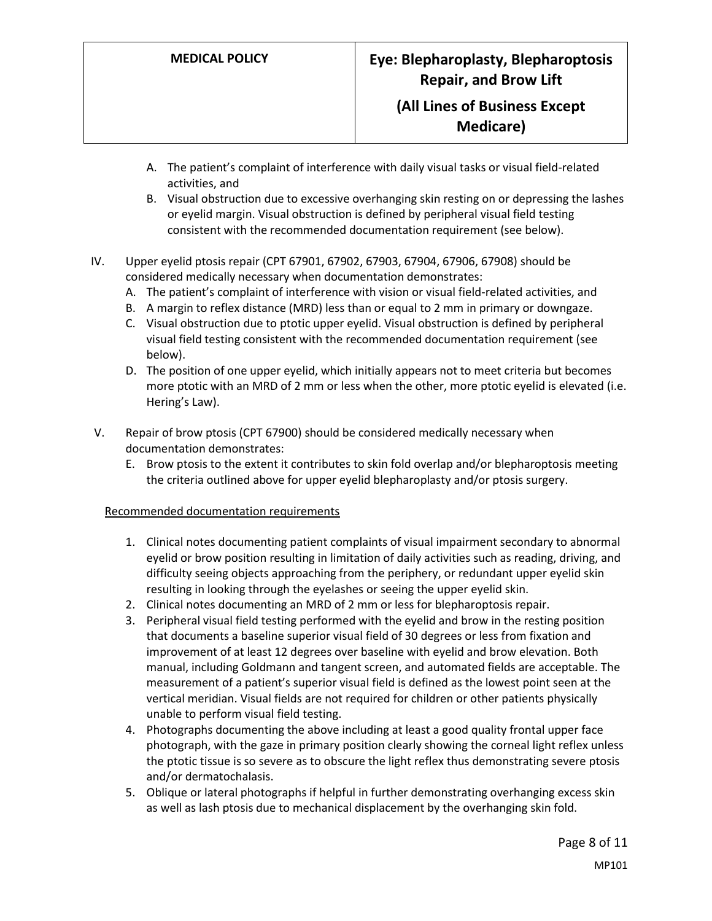- A. The patient's complaint of interference with daily visual tasks or visual field-related activities, and
- B. Visual obstruction due to excessive overhanging skin resting on or depressing the lashes or eyelid margin. Visual obstruction is defined by peripheral visual field testing consistent with the recommended documentation requirement (see below).
- IV. Upper eyelid ptosis repair (CPT 67901, 67902, 67903, 67904, 67906, 67908) should be considered medically necessary when documentation demonstrates:
	- A. The patient's complaint of interference with vision or visual field-related activities, and
	- B. A margin to reflex distance (MRD) less than or equal to 2 mm in primary or downgaze.
	- C. Visual obstruction due to ptotic upper eyelid. Visual obstruction is defined by peripheral visual field testing consistent with the recommended documentation requirement (see below).
	- D. The position of one upper eyelid, which initially appears not to meet criteria but becomes more ptotic with an MRD of 2 mm or less when the other, more ptotic eyelid is elevated (i.e. Hering's Law).
- V. Repair of brow ptosis (CPT 67900) should be considered medically necessary when documentation demonstrates:
	- E. Brow ptosis to the extent it contributes to skin fold overlap and/or blepharoptosis meeting the criteria outlined above for upper eyelid blepharoplasty and/or ptosis surgery.

#### Recommended documentation requirements

- 1. Clinical notes documenting patient complaints of visual impairment secondary to abnormal eyelid or brow position resulting in limitation of daily activities such as reading, driving, and difficulty seeing objects approaching from the periphery, or redundant upper eyelid skin resulting in looking through the eyelashes or seeing the upper eyelid skin.
- 2. Clinical notes documenting an MRD of 2 mm or less for blepharoptosis repair.
- 3. Peripheral visual field testing performed with the eyelid and brow in the resting position that documents a baseline superior visual field of 30 degrees or less from fixation and improvement of at least 12 degrees over baseline with eyelid and brow elevation. Both manual, including Goldmann and tangent screen, and automated fields are acceptable. The measurement of a patient's superior visual field is defined as the lowest point seen at the vertical meridian. Visual fields are not required for children or other patients physically unable to perform visual field testing.
- 4. Photographs documenting the above including at least a good quality frontal upper face photograph, with the gaze in primary position clearly showing the corneal light reflex unless the ptotic tissue is so severe as to obscure the light reflex thus demonstrating severe ptosis and/or dermatochalasis.
- 5. Oblique or lateral photographs if helpful in further demonstrating overhanging excess skin as well as lash ptosis due to mechanical displacement by the overhanging skin fold.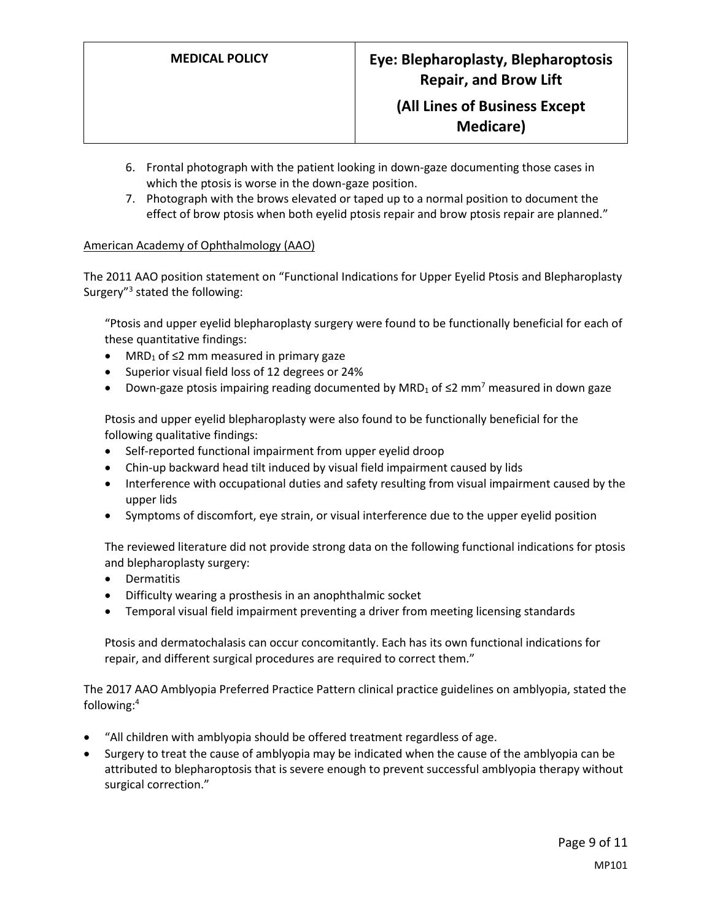- 6. Frontal photograph with the patient looking in down-gaze documenting those cases in which the ptosis is worse in the down-gaze position.
- 7. Photograph with the brows elevated or taped up to a normal position to document the effect of brow ptosis when both eyelid ptosis repair and brow ptosis repair are planned."

#### American Academy of Ophthalmology (AAO)

The 2011 AAO position statement on "Functional Indications for Upper Eyelid Ptosis and Blepharoplasty Surgery"<sup>3</sup> stated the following:

"Ptosis and upper eyelid blepharoplasty surgery were found to be functionally beneficial for each of these quantitative findings:

- MRD<sub>1</sub> of  $\leq$ 2 mm measured in primary gaze
- Superior visual field loss of 12 degrees or 24%
- Down-gaze ptosis impairing reading documented by MRD<sub>1</sub> of  $\leq$ 2 mm<sup>7</sup> measured in down gaze

Ptosis and upper eyelid blepharoplasty were also found to be functionally beneficial for the following qualitative findings:

- Self-reported functional impairment from upper eyelid droop
- Chin-up backward head tilt induced by visual field impairment caused by lids
- Interference with occupational duties and safety resulting from visual impairment caused by the upper lids
- Symptoms of discomfort, eye strain, or visual interference due to the upper eyelid position

The reviewed literature did not provide strong data on the following functional indications for ptosis and blepharoplasty surgery:

- Dermatitis
- Difficulty wearing a prosthesis in an anophthalmic socket
- Temporal visual field impairment preventing a driver from meeting licensing standards

Ptosis and dermatochalasis can occur concomitantly. Each has its own functional indications for repair, and different surgical procedures are required to correct them."

The 2017 AAO Amblyopia Preferred Practice Pattern clinical practice guidelines on amblyopia, stated the following:<sup>4</sup>

- "All children with amblyopia should be offered treatment regardless of age.
- Surgery to treat the cause of amblyopia may be indicated when the cause of the amblyopia can be attributed to blepharoptosis that is severe enough to prevent successful amblyopia therapy without surgical correction."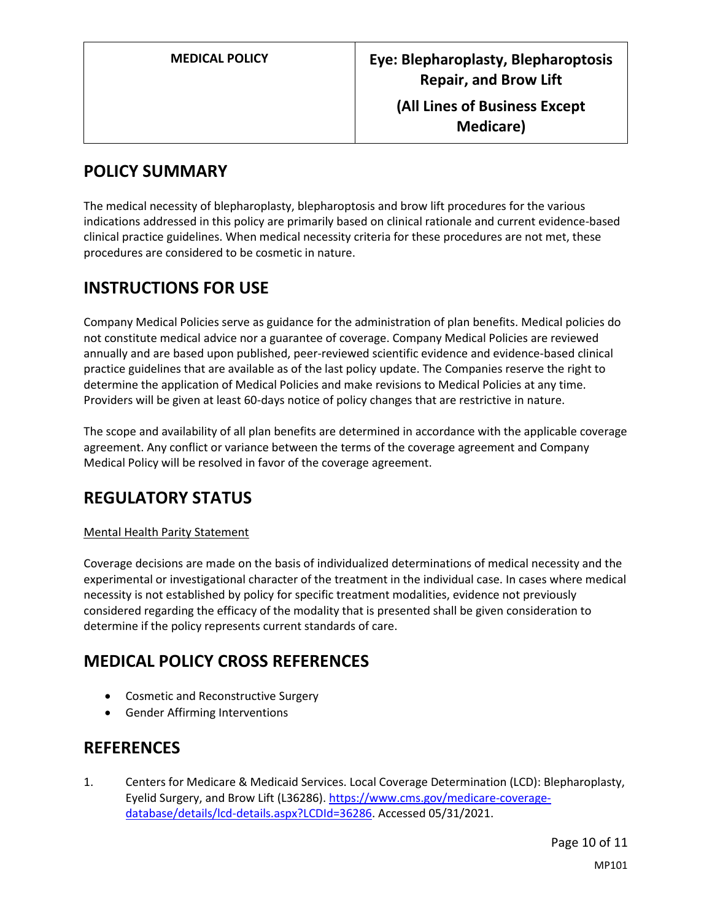## <span id="page-9-0"></span>**POLICY SUMMARY**

The medical necessity of blepharoplasty, blepharoptosis and brow lift procedures for the various indications addressed in this policy are primarily based on clinical rationale and current evidence-based clinical practice guidelines. When medical necessity criteria for these procedures are not met, these procedures are considered to be cosmetic in nature.

## **INSTRUCTIONS FOR USE**

Company Medical Policies serve as guidance for the administration of plan benefits. Medical policies do not constitute medical advice nor a guarantee of coverage. Company Medical Policies are reviewed annually and are based upon published, peer-reviewed scientific evidence and evidence-based clinical practice guidelines that are available as of the last policy update. The Companies reserve the right to determine the application of Medical Policies and make revisions to Medical Policies at any time. Providers will be given at least 60-days notice of policy changes that are restrictive in nature.

The scope and availability of all plan benefits are determined in accordance with the applicable coverage agreement. Any conflict or variance between the terms of the coverage agreement and Company Medical Policy will be resolved in favor of the coverage agreement.

## **REGULATORY STATUS**

#### Mental Health Parity Statement

Coverage decisions are made on the basis of individualized determinations of medical necessity and the experimental or investigational character of the treatment in the individual case. In cases where medical necessity is not established by policy for specific treatment modalities, evidence not previously considered regarding the efficacy of the modality that is presented shall be given consideration to determine if the policy represents current standards of care.

### **MEDICAL POLICY CROSS REFERENCES**

- Cosmetic and Reconstructive Surgery
- Gender Affirming Interventions

## **REFERENCES**

1. Centers for Medicare & Medicaid Services. Local Coverage Determination (LCD): Blepharoplasty, Eyelid Surgery, and Brow Lift (L36286). [https://www.cms.gov/medicare-coverage](https://www.cms.gov/medicare-coverage-database/details/lcd-details.aspx?LCDId=36286)[database/details/lcd-details.aspx?LCDId=36286.](https://www.cms.gov/medicare-coverage-database/details/lcd-details.aspx?LCDId=36286) Accessed 05/31/2021.